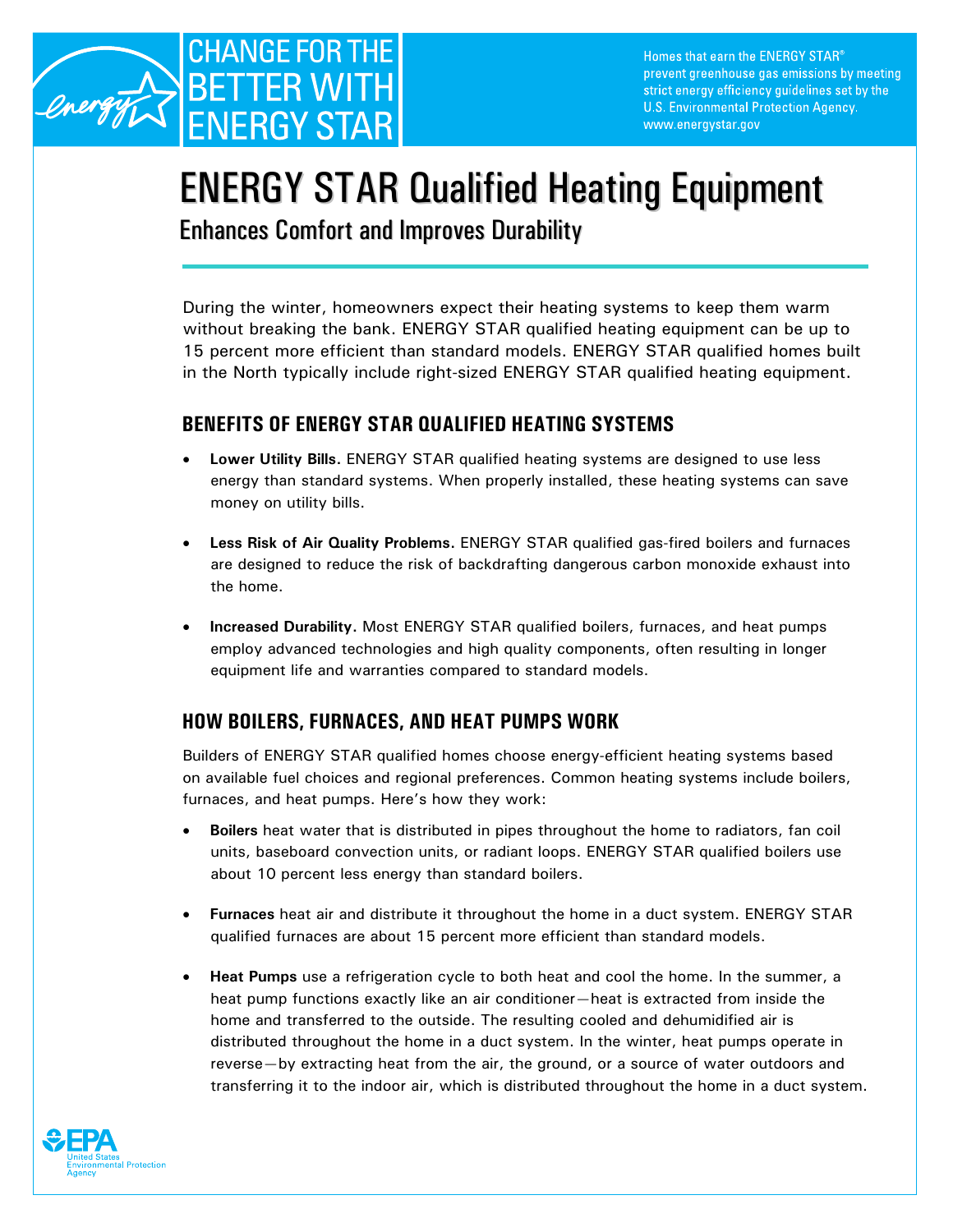

# ENERGY STAR Qualified Heating Equipment

Enhances Comfort and Improves Durability

During the winter, homeowners expect their heating systems to keep them warm without breaking the bank. ENERGY STAR qualified heating equipment can be up to 15 percent more efficient than standard models. ENERGY STAR qualified homes built in the North typically include right-sized ENERGY STAR qualified heating equipment.

## **BENEFITS OF ENERGY STAR QUALIFIED HEATING SYSTEMS**

- **Lower Utility Bills.** ENERGY STAR qualified heating systems are designed to use less energy than standard systems. When properly installed, these heating systems can save money on utility bills.
- **Less Risk of Air Quality Problems.** ENERGY STAR qualified gas-fired boilers and furnaces are designed to reduce the risk of backdrafting dangerous carbon monoxide exhaust into the home.
- **Increased Durability.** Most ENERGY STAR qualified boilers, furnaces, and heat pumps employ advanced technologies and high quality components, often resulting in longer equipment life and warranties compared to standard models.

# **HOW BOILERS, FURNACES, AND HEAT PUMPS WORK**

Builders of ENERGY STAR qualified homes choose energy-efficient heating systems based on available fuel choices and regional preferences. Common heating systems include boilers, furnaces, and heat pumps. Here's how they work:

- **Boilers** heat water that is distributed in pipes throughout the home to radiators, fan coil units, baseboard convection units, or radiant loops. ENERGY STAR qualified boilers use about 10 percent less energy than standard boilers.
- **Furnaces** heat air and distribute it throughout the home in a duct system. ENERGY STAR qualified furnaces are about 15 percent more efficient than standard models.
- **Heat Pumps** use a refrigeration cycle to both heat and cool the home. In the summer, a heat pump functions exactly like an air conditioner—heat is extracted from inside the home and transferred to the outside. The resulting cooled and dehumidified air is distributed throughout the home in a duct system. In the winter, heat pumps operate in reverse—by extracting heat from the air, the ground, or a source of water outdoors and transferring it to the indoor air, which is distributed throughout the home in a duct system.